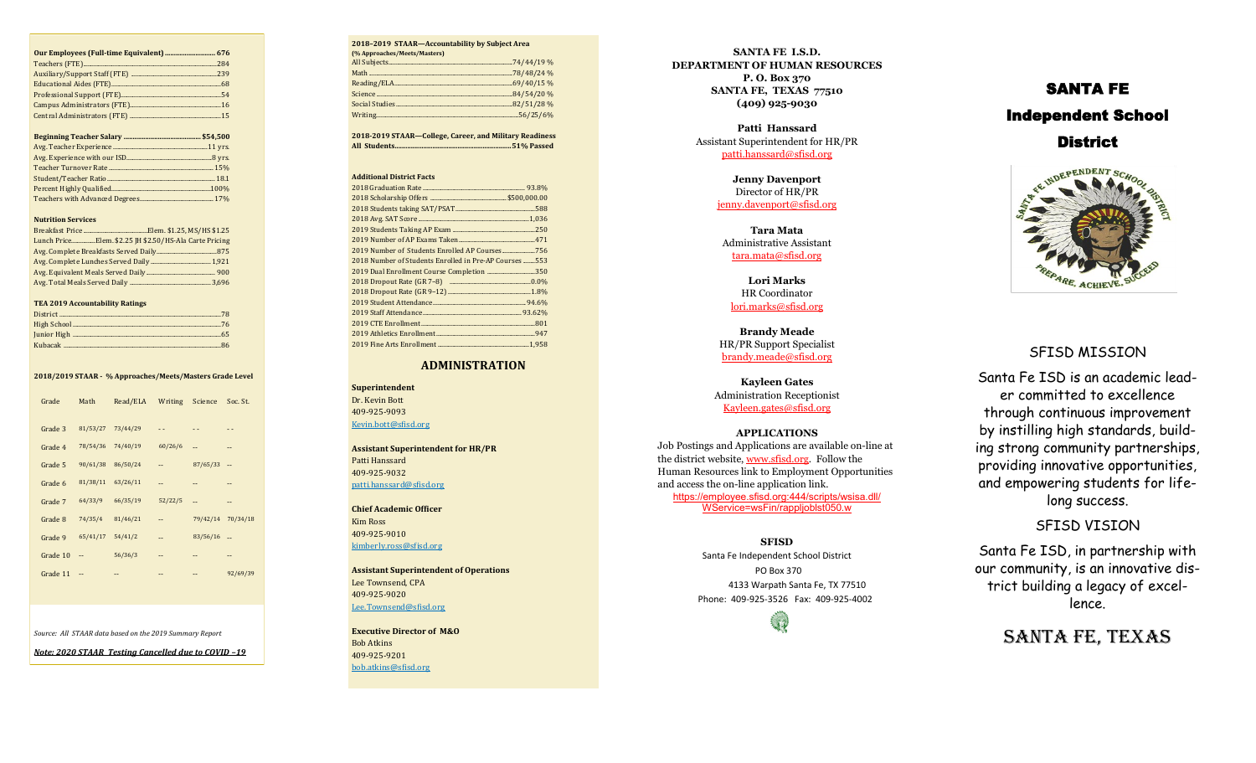#### **Nutrition Services**

| Lunch PriceElem. \$2.25 JH \$2.50/HS-Ala Carte Pricing |  |
|--------------------------------------------------------|--|
|                                                        |  |
|                                                        |  |
|                                                        |  |
|                                                        |  |

### **TEA 2019 Accountability Ratings**

#### **2018/2019 STAAR - % Approaches/Meets/Masters Grade Level**

| Grade    | Math     | Read/ELA | Writing                  | Science  | Soc. St. |
|----------|----------|----------|--------------------------|----------|----------|
| Grade 3  | 81/53/27 | 73/44/29 | . .                      | - -      |          |
| Grade 4  | 78/54/36 | 74/40/19 | 60/26/6                  | $-1$     | --       |
| Grade 5  | 90/61/38 | 86/50/24 | --                       | 87/65/33 | --       |
| Grade 6  | 81/38/11 | 63/26/11 | $\overline{\phantom{a}}$ | --       | --       |
| Grade 7  | 64/33/9  | 66/35/19 | 52/22/5                  | $-1$     | $-1$     |
| Grade 8  | 74/35/4  | 81/46/21 | $-1$                     | 79/42/14 | 70/34/18 |
| Grade 9  | 65/41/17 | 54/41/2  | $\overline{\phantom{a}}$ | 83/56/16 | ٠.       |
| Grade 10 | --       | 56/36/3  | $- -$                    | $-1$     | $-1$     |
| Grade 11 | $-$      | $-1$     | --                       | $- -$    | 92/69/39 |
|          |          |          |                          |          |          |
|          |          |          |                          |          |          |

*Source: All STAAR data based on the 2019 Summary Report* 

*Note: 2020 STAAR Testing Cancelled due to COVID –19*

| 2018-2019 STAAR-Accountability by Subject Area |  |  |
|------------------------------------------------|--|--|
| (% Approaches/Meets/Masters)                   |  |  |
|                                                |  |  |
|                                                |  |  |
|                                                |  |  |
|                                                |  |  |
|                                                |  |  |
|                                                |  |  |
|                                                |  |  |

**2018 -2019 STAAR —College, Career, and Military Readiness All Students................................................................ .51% Passed**

#### **Additional District Facts**

| 2018 Number of Students Enrolled in Pre-AP Courses  553 |
|---------------------------------------------------------|
| 2019 Dual Enrollment Course Completion 350              |
|                                                         |
|                                                         |
|                                                         |
|                                                         |
|                                                         |
|                                                         |
|                                                         |

### **ADMINISTRATION**

**Superintendent**  Dr. Kevin Bott 409 -925 -9093 Kevin.bott@sfisd.org

**Assistant Superintendent for HR/PR** Patti Hanssard 409 -925 -9032 patti.hanssard@sfisd.org

**Chief Academic Officer**  Kim Ross 409 -925 -9010 kimberly.ross@sfisd.org

**Assistant Superintendent of Operations** Lee Townsend, CPA 409 -925 -9020 Lee.Townsend@sfisd.org

**Executive Director of M&O**  Bob Atkins 409 -925 -9201 bob.atkins@sfisd.org

**SANTA FE I.S.D. DEPARTMENT OF HUMAN RESOURCES P. O. Box 370 SANTA FE, TEXAS 77510 (409) 925 -9030**

> **Patti Hanssard** Assistant Superintendent for HR/PR patti.hanssard@sfisd.org

> > **Jenny Davenport**  Director of HR/PR jenny.davenport@sfisd.org

**Tara Mata**  Administrative Assistant tara.mata@sfisd.org

**Lori Marks**  HR Coordinator lori.marks@sfisd.org

**Brandy Meade** HR/PR Support Specialist brandy.meade@sfisd.org

**Kayleen Gates** Administration Receptionist Kayleen.gates@sfisd.org

### **APPLICATIONS**

Job Postings and Applications are available on -line at the district website, www.sfisd.org. Follow the Human Resources link to Employment Opportunities and access the on -line application link.

[https://employee.sfisd.org:444/scripts/wsisa.dll/](https://employee.sfisd.org:444/scripts/wsisa.dll/WService=wsFin/rappljoblst050.w) [WService=wsFin/rappljoblst050.w](https://employee.sfisd.org:444/scripts/wsisa.dll/WService=wsFin/rappljoblst050.w)

**SFISD** Santa Fe Independent School District PO Box 370 4133 Warpath Santa Fe, TX 77510 Phone: 409 -925 -3526 Fax: 409 -925 -4002

# SANTA FE Independent School

**District** 



### SFISD MISSION

Santa Fe ISD is an academic leader committed to excellence through continuous improvement by instilling high standards, building strong community partnerships, providing innovative opportunities, and empowering students for lifelong success.

SFISD VISION

Santa Fe ISD, in partnership with our community, is an innovative district building a legacy of excellence.

SANTA FE, TEXAS